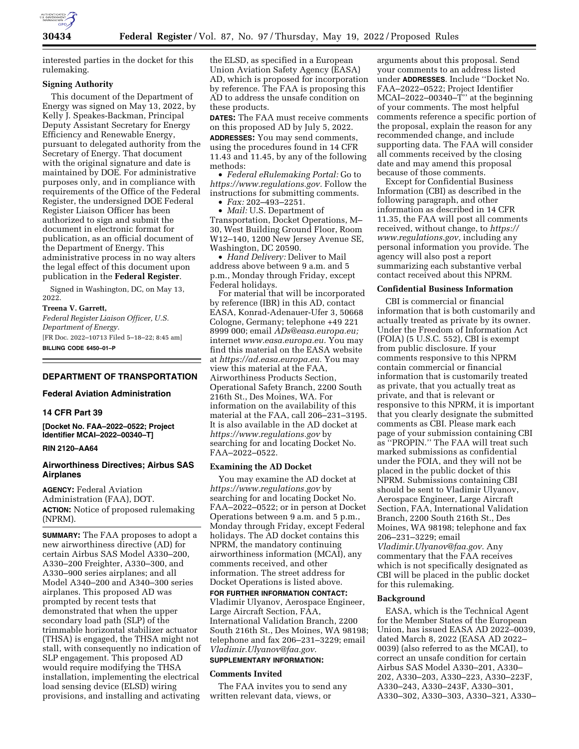

interested parties in the docket for this rulemaking.

### **Signing Authority**

This document of the Department of Energy was signed on May 13, 2022, by Kelly J. Speakes-Backman, Principal Deputy Assistant Secretary for Energy Efficiency and Renewable Energy, pursuant to delegated authority from the Secretary of Energy. That document with the original signature and date is maintained by DOE. For administrative purposes only, and in compliance with requirements of the Office of the Federal Register, the undersigned DOE Federal Register Liaison Officer has been authorized to sign and submit the document in electronic format for publication, as an official document of the Department of Energy. This administrative process in no way alters the legal effect of this document upon publication in the **Federal Register**.

Signed in Washington, DC, on May 13, 2022.

#### **Treena V. Garrett,**

*Federal Register Liaison Officer, U.S. Department of Energy.*  [FR Doc. 2022–10713 Filed 5–18–22; 8:45 am] **BILLING CODE 6450–01–P** 

#### **DEPARTMENT OF TRANSPORTATION**

### **Federal Aviation Administration**

### **14 CFR Part 39**

**[Docket No. FAA–2022–0522; Project Identifier MCAI–2022–00340–T]** 

### **RIN 2120–AA64**

### **Airworthiness Directives; Airbus SAS Airplanes**

**AGENCY:** Federal Aviation Administration (FAA), DOT. **ACTION:** Notice of proposed rulemaking (NPRM).

**SUMMARY:** The FAA proposes to adopt a new airworthiness directive (AD) for certain Airbus SAS Model A330–200, A330–200 Freighter, A330–300, and A330–900 series airplanes; and all Model A340–200 and A340–300 series airplanes. This proposed AD was prompted by recent tests that demonstrated that when the upper secondary load path (SLP) of the trimmable horizontal stabilizer actuator (THSA) is engaged, the THSA might not stall, with consequently no indication of SLP engagement. This proposed AD would require modifying the THSA installation, implementing the electrical load sensing device (ELSD) wiring provisions, and installing and activating

the ELSD, as specified in a European Union Aviation Safety Agency (EASA) AD, which is proposed for incorporation by reference. The FAA is proposing this AD to address the unsafe condition on these products.

**DATES:** The FAA must receive comments on this proposed AD by July 5, 2022.

**ADDRESSES:** You may send comments, using the procedures found in 14 CFR 11.43 and 11.45, by any of the following methods:

• *Federal eRulemaking Portal:* Go to *[https://www.regulations.gov.](https://www.regulations.gov)* Follow the instructions for submitting comments.

• *Fax:* 202–493–2251.

• *Mail:* U.S. Department of Transportation, Docket Operations, M– 30, West Building Ground Floor, Room W12–140, 1200 New Jersey Avenue SE, Washington, DC 20590.

• *Hand Delivery:* Deliver to Mail address above between 9 a.m. and 5 p.m., Monday through Friday, except Federal holidays.

For material that will be incorporated by reference (IBR) in this AD, contact EASA, Konrad-Adenauer-Ufer 3, 50668 Cologne, Germany; telephone +49 221 8999 000; email *[ADs@easa.europa.eu;](mailto:ADs@easa.europa.eu)*  internet *[www.easa.europa.eu.](http://www.easa.europa.eu)* You may find this material on the EASA website at *[https://ad.easa.europa.eu.](https://ad.easa.europa.eu)* You may view this material at the FAA, Airworthiness Products Section, Operational Safety Branch, 2200 South 216th St., Des Moines, WA. For information on the availability of this material at the FAA, call 206–231–3195. It is also available in the AD docket at *<https://www.regulations.gov>* by searching for and locating Docket No. FAA–2022–0522.

#### **Examining the AD Docket**

You may examine the AD docket at *<https://www.regulations.gov>* by searching for and locating Docket No. FAA–2022–0522; or in person at Docket Operations between 9 a.m. and 5 p.m., Monday through Friday, except Federal holidays. The AD docket contains this NPRM, the mandatory continuing airworthiness information (MCAI), any comments received, and other information. The street address for Docket Operations is listed above.

**FOR FURTHER INFORMATION CONTACT:**  Vladimir Ulyanov, Aerospace Engineer, Large Aircraft Section, FAA, International Validation Branch, 2200 South 216th St., Des Moines, WA 98198;

# telephone and fax 206–231–3229; email *[Vladimir.Ulyanov@faa.gov.](mailto:Vladimir.Ulyanov@faa.gov)*

# **SUPPLEMENTARY INFORMATION:**

### **Comments Invited**

The FAA invites you to send any written relevant data, views, or

arguments about this proposal. Send your comments to an address listed under **ADDRESSES**. Include ''Docket No. FAA–2022–0522; Project Identifier MCAI–2022–00340–T'' at the beginning of your comments. The most helpful comments reference a specific portion of the proposal, explain the reason for any recommended change, and include supporting data. The FAA will consider all comments received by the closing date and may amend this proposal because of those comments.

Except for Confidential Business Information (CBI) as described in the following paragraph, and other information as described in 14 CFR 11.35, the FAA will post all comments received, without change, to *[https://](https://www.regulations.gov) [www.regulations.gov,](https://www.regulations.gov)* including any personal information you provide. The agency will also post a report summarizing each substantive verbal contact received about this NPRM.

### **Confidential Business Information**

CBI is commercial or financial information that is both customarily and actually treated as private by its owner. Under the Freedom of Information Act (FOIA) (5 U.S.C. 552), CBI is exempt from public disclosure. If your comments responsive to this NPRM contain commercial or financial information that is customarily treated as private, that you actually treat as private, and that is relevant or responsive to this NPRM, it is important that you clearly designate the submitted comments as CBI. Please mark each page of your submission containing CBI as ''PROPIN.'' The FAA will treat such marked submissions as confidential under the FOIA, and they will not be placed in the public docket of this NPRM. Submissions containing CBI should be sent to Vladimir Ulyanov, Aerospace Engineer, Large Aircraft Section, FAA, International Validation Branch, 2200 South 216th St., Des Moines, WA 98198; telephone and fax 206–231–3229; email *[Vladimir.Ulyanov@faa.gov.](mailto:Vladimir.Ulyanov@faa.gov)* Any commentary that the FAA receives which is not specifically designated as CBI will be placed in the public docket for this rulemaking.

### **Background**

EASA, which is the Technical Agent for the Member States of the European Union, has issued EASA AD 2022–0039, dated March 8, 2022 (EASA AD 2022– 0039) (also referred to as the MCAI), to correct an unsafe condition for certain Airbus SAS Model A330–201, A330– 202, A330–203, A330–223, A330–223F, A330–243, A330–243F, A330–301, A330–302, A330–303, A330–321, A330–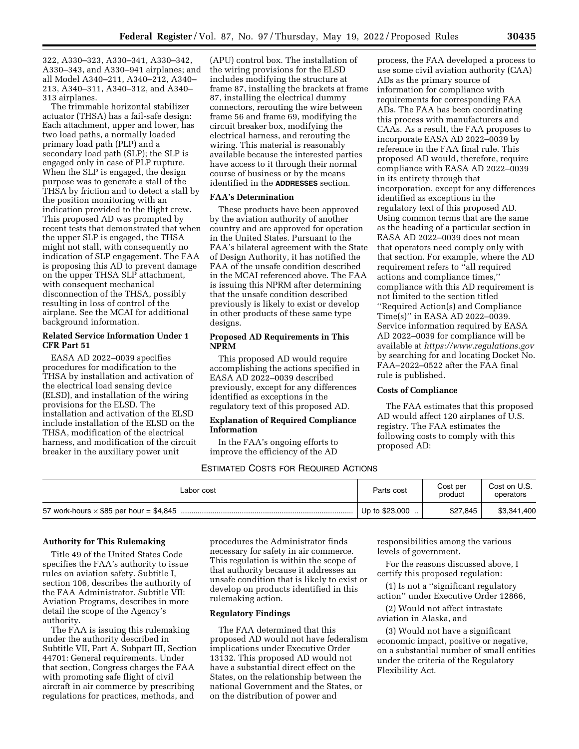322, A330–323, A330–341, A330–342, A330–343, and A330–941 airplanes; and all Model A340–211, A340–212, A340– 213, A340–311, A340–312, and A340– 313 airplanes.

The trimmable horizontal stabilizer actuator (THSA) has a fail-safe design: Each attachment, upper and lower, has two load paths, a normally loaded primary load path (PLP) and a secondary load path (SLP); the SLP is engaged only in case of PLP rupture. When the SLP is engaged, the design purpose was to generate a stall of the THSA by friction and to detect a stall by the position monitoring with an indication provided to the flight crew. This proposed AD was prompted by recent tests that demonstrated that when the upper SLP is engaged, the THSA might not stall, with consequently no indication of SLP engagement. The FAA is proposing this AD to prevent damage on the upper THSA SLP attachment, with consequent mechanical disconnection of the THSA, possibly resulting in loss of control of the airplane. See the MCAI for additional background information.

### **Related Service Information Under 1 CFR Part 51**

EASA AD 2022–0039 specifies procedures for modification to the THSA by installation and activation of the electrical load sensing device (ELSD), and installation of the wiring provisions for the ELSD. The installation and activation of the ELSD include installation of the ELSD on the THSA, modification of the electrical harness, and modification of the circuit breaker in the auxiliary power unit

(APU) control box. The installation of the wiring provisions for the ELSD includes modifying the structure at frame 87, installing the brackets at frame 87, installing the electrical dummy connectors, rerouting the wire between frame 56 and frame 69, modifying the circuit breaker box, modifying the electrical harness, and rerouting the wiring. This material is reasonably available because the interested parties have access to it through their normal course of business or by the means identified in the **ADDRESSES** section.

### **FAA's Determination**

These products have been approved by the aviation authority of another country and are approved for operation in the United States. Pursuant to the FAA's bilateral agreement with the State of Design Authority, it has notified the FAA of the unsafe condition described in the MCAI referenced above. The FAA is issuing this NPRM after determining that the unsafe condition described previously is likely to exist or develop in other products of these same type designs.

### **Proposed AD Requirements in This NPRM**

This proposed AD would require accomplishing the actions specified in EASA AD 2022–0039 described previously, except for any differences identified as exceptions in the regulatory text of this proposed AD.

### **Explanation of Required Compliance Information**

In the FAA's ongoing efforts to improve the efficiency of the AD

process, the FAA developed a process to use some civil aviation authority (CAA) ADs as the primary source of information for compliance with requirements for corresponding FAA ADs. The FAA has been coordinating this process with manufacturers and CAAs. As a result, the FAA proposes to incorporate EASA AD 2022–0039 by reference in the FAA final rule. This proposed AD would, therefore, require compliance with EASA AD 2022–0039 in its entirety through that incorporation, except for any differences identified as exceptions in the regulatory text of this proposed AD. Using common terms that are the same as the heading of a particular section in EASA AD 2022–0039 does not mean that operators need comply only with that section. For example, where the AD requirement refers to ''all required actions and compliance times,'' compliance with this AD requirement is not limited to the section titled ''Required Action(s) and Compliance Time(s)'' in EASA AD 2022–0039. Service information required by EASA AD 2022–0039 for compliance will be available at *<https://www.regulations.gov>* by searching for and locating Docket No. FAA–2022–0522 after the FAA final rule is published.

### **Costs of Compliance**

The FAA estimates that this proposed AD would affect 120 airplanes of U.S. registry. The FAA estimates the following costs to comply with this proposed AD:

### ESTIMATED COSTS FOR REQUIRED ACTIONS

| Labor cost | Parts cost      | Cost per<br>product | Cost on U.S.<br>operators |
|------------|-----------------|---------------------|---------------------------|
|            | Up to $$23,000$ | \$27,845            | \$3,341,400               |

### **Authority for This Rulemaking**

Title 49 of the United States Code specifies the FAA's authority to issue rules on aviation safety. Subtitle I, section 106, describes the authority of the FAA Administrator. Subtitle VII: Aviation Programs, describes in more detail the scope of the Agency's authority.

The FAA is issuing this rulemaking under the authority described in Subtitle VII, Part A, Subpart III, Section 44701: General requirements. Under that section, Congress charges the FAA with promoting safe flight of civil aircraft in air commerce by prescribing regulations for practices, methods, and

procedures the Administrator finds necessary for safety in air commerce. This regulation is within the scope of that authority because it addresses an unsafe condition that is likely to exist or develop on products identified in this rulemaking action.

### **Regulatory Findings**

The FAA determined that this proposed AD would not have federalism implications under Executive Order 13132. This proposed AD would not have a substantial direct effect on the States, on the relationship between the national Government and the States, or on the distribution of power and

responsibilities among the various levels of government.

For the reasons discussed above, I certify this proposed regulation:

(1) Is not a ''significant regulatory action'' under Executive Order 12866,

(2) Would not affect intrastate aviation in Alaska, and

(3) Would not have a significant economic impact, positive or negative, on a substantial number of small entities under the criteria of the Regulatory Flexibility Act.